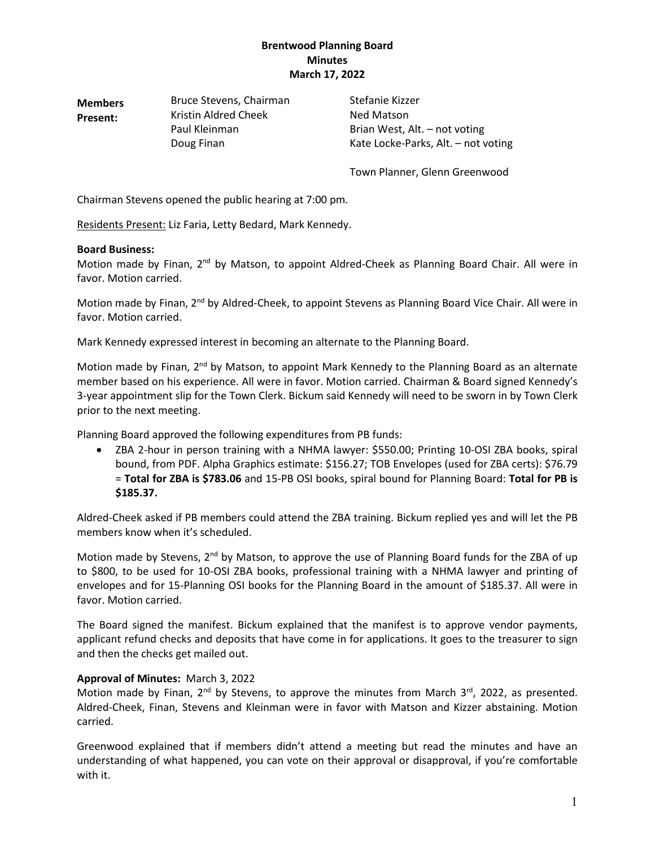**Members Present:** Bruce Stevens, Chairman Stefanie Kizzer Kristin Aldred Cheek Ned Matson

Paul Kleinman Brian West, Alt. – not voting Doug Finan Kate Locke-Parks, Alt. – not voting

Town Planner, Glenn Greenwood

Chairman Stevens opened the public hearing at 7:00 pm*.*

Residents Present: Liz Faria, Letty Bedard, Mark Kennedy.

#### **Board Business:**

Motion made by Finan, 2<sup>nd</sup> by Matson, to appoint Aldred-Cheek as Planning Board Chair. All were in favor. Motion carried.

Motion made by Finan, 2<sup>nd</sup> by Aldred-Cheek, to appoint Stevens as Planning Board Vice Chair. All were in favor. Motion carried.

Mark Kennedy expressed interest in becoming an alternate to the Planning Board.

Motion made by Finan, 2<sup>nd</sup> by Matson, to appoint Mark Kennedy to the Planning Board as an alternate member based on his experience. All were in favor. Motion carried. Chairman & Board signed Kennedy's 3-year appointment slip for the Town Clerk. Bickum said Kennedy will need to be sworn in by Town Clerk prior to the next meeting.

Planning Board approved the following expenditures from PB funds:

• ZBA 2-hour in person training with a NHMA lawyer: \$550.00; Printing 10-OSI ZBA books, spiral bound, from PDF. Alpha Graphics estimate: \$156.27; TOB Envelopes (used for ZBA certs): \$76.79 = **Total for ZBA is \$783.06** and 15-PB OSI books, spiral bound for Planning Board: **Total for PB is \$185.37.**

Aldred-Cheek asked if PB members could attend the ZBA training. Bickum replied yes and will let the PB members know when it's scheduled.

Motion made by Stevens, 2<sup>nd</sup> by Matson, to approve the use of Planning Board funds for the ZBA of up to \$800, to be used for 10-OSI ZBA books, professional training with a NHMA lawyer and printing of envelopes and for 15-Planning OSI books for the Planning Board in the amount of \$185.37. All were in favor. Motion carried.

The Board signed the manifest. Bickum explained that the manifest is to approve vendor payments, applicant refund checks and deposits that have come in for applications. It goes to the treasurer to sign and then the checks get mailed out.

# **Approval of Minutes:** March 3, 2022

Motion made by Finan,  $2^{nd}$  by Stevens, to approve the minutes from March  $3^{rd}$ , 2022, as presented. Aldred-Cheek, Finan, Stevens and Kleinman were in favor with Matson and Kizzer abstaining. Motion carried.

Greenwood explained that if members didn't attend a meeting but read the minutes and have an understanding of what happened, you can vote on their approval or disapproval, if you're comfortable with it.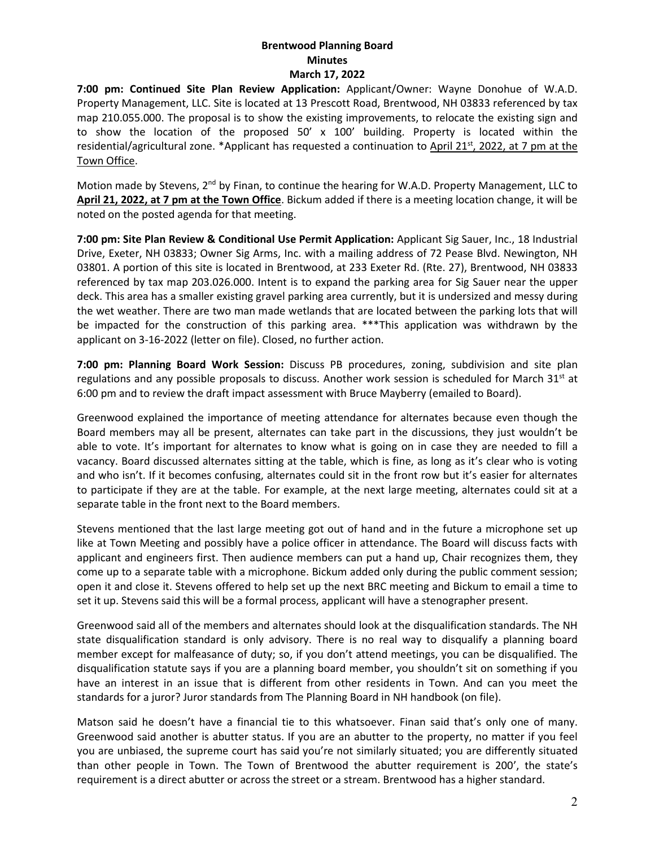**7:00 pm: Continued Site Plan Review Application:** Applicant/Owner: Wayne Donohue of W.A.D. Property Management, LLC. Site is located at 13 Prescott Road, Brentwood, NH 03833 referenced by tax map 210.055.000. The proposal is to show the existing improvements, to relocate the existing sign and to show the location of the proposed 50' x 100' building. Property is located within the residential/agricultural zone. \*Applicant has requested a continuation to April 21<sup>st</sup>, 2022, at 7 pm at the Town Office.

Motion made by Stevens,  $2<sup>nd</sup>$  by Finan, to continue the hearing for W.A.D. Property Management, LLC to **April 21, 2022, at 7 pm at the Town Office**. Bickum added if there is a meeting location change, it will be noted on the posted agenda for that meeting.

**7:00 pm: Site Plan Review & Conditional Use Permit Application:** Applicant Sig Sauer, Inc., 18 Industrial Drive, Exeter, NH 03833; Owner Sig Arms, Inc. with a mailing address of 72 Pease Blvd. Newington, NH 03801. A portion of this site is located in Brentwood, at 233 Exeter Rd. (Rte. 27), Brentwood, NH 03833 referenced by tax map 203.026.000. Intent is to expand the parking area for Sig Sauer near the upper deck. This area has a smaller existing gravel parking area currently, but it is undersized and messy during the wet weather. There are two man made wetlands that are located between the parking lots that will be impacted for the construction of this parking area. \*\*\*This application was withdrawn by the applicant on 3-16-2022 (letter on file). Closed, no further action.

**7:00 pm: Planning Board Work Session:** Discuss PB procedures, zoning, subdivision and site plan regulations and any possible proposals to discuss. Another work session is scheduled for March  $31<sup>st</sup>$  at 6:00 pm and to review the draft impact assessment with Bruce Mayberry (emailed to Board).

Greenwood explained the importance of meeting attendance for alternates because even though the Board members may all be present, alternates can take part in the discussions, they just wouldn't be able to vote. It's important for alternates to know what is going on in case they are needed to fill a vacancy. Board discussed alternates sitting at the table, which is fine, as long as it's clear who is voting and who isn't. If it becomes confusing, alternates could sit in the front row but it's easier for alternates to participate if they are at the table. For example, at the next large meeting, alternates could sit at a separate table in the front next to the Board members.

Stevens mentioned that the last large meeting got out of hand and in the future a microphone set up like at Town Meeting and possibly have a police officer in attendance. The Board will discuss facts with applicant and engineers first. Then audience members can put a hand up, Chair recognizes them, they come up to a separate table with a microphone. Bickum added only during the public comment session; open it and close it. Stevens offered to help set up the next BRC meeting and Bickum to email a time to set it up. Stevens said this will be a formal process, applicant will have a stenographer present.

Greenwood said all of the members and alternates should look at the disqualification standards. The NH state disqualification standard is only advisory. There is no real way to disqualify a planning board member except for malfeasance of duty; so, if you don't attend meetings, you can be disqualified. The disqualification statute says if you are a planning board member, you shouldn't sit on something if you have an interest in an issue that is different from other residents in Town. And can you meet the standards for a juror? Juror standards from The Planning Board in NH handbook (on file).

Matson said he doesn't have a financial tie to this whatsoever. Finan said that's only one of many. Greenwood said another is abutter status. If you are an abutter to the property, no matter if you feel you are unbiased, the supreme court has said you're not similarly situated; you are differently situated than other people in Town. The Town of Brentwood the abutter requirement is 200', the state's requirement is a direct abutter or across the street or a stream. Brentwood has a higher standard.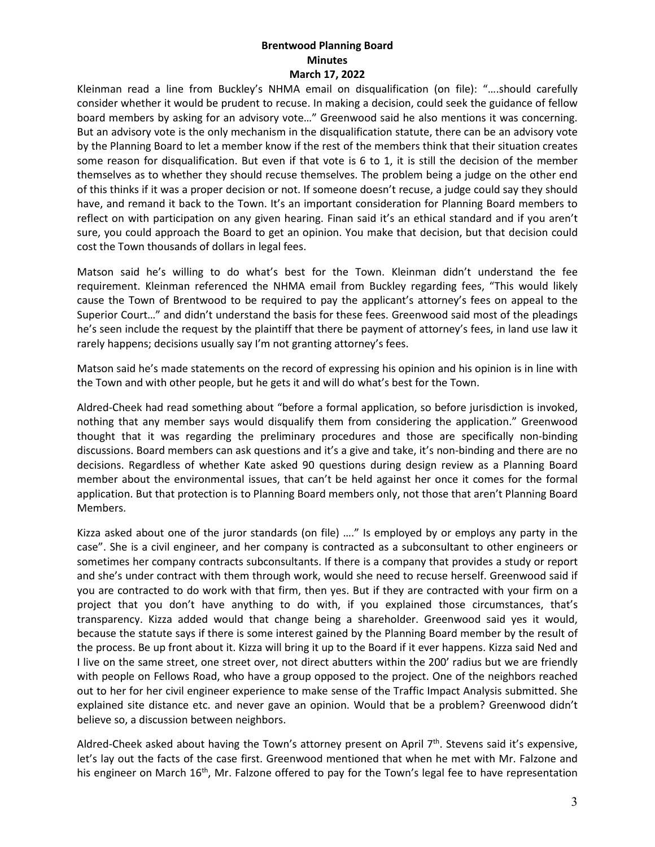Kleinman read a line from Buckley's NHMA email on disqualification (on file): "….should carefully consider whether it would be prudent to recuse. In making a decision, could seek the guidance of fellow board members by asking for an advisory vote…" Greenwood said he also mentions it was concerning. But an advisory vote is the only mechanism in the disqualification statute, there can be an advisory vote by the Planning Board to let a member know if the rest of the members think that their situation creates some reason for disqualification. But even if that vote is 6 to 1, it is still the decision of the member themselves as to whether they should recuse themselves. The problem being a judge on the other end of this thinks if it was a proper decision or not. If someone doesn't recuse, a judge could say they should have, and remand it back to the Town. It's an important consideration for Planning Board members to reflect on with participation on any given hearing. Finan said it's an ethical standard and if you aren't sure, you could approach the Board to get an opinion. You make that decision, but that decision could cost the Town thousands of dollars in legal fees.

Matson said he's willing to do what's best for the Town. Kleinman didn't understand the fee requirement. Kleinman referenced the NHMA email from Buckley regarding fees, "This would likely cause the Town of Brentwood to be required to pay the applicant's attorney's fees on appeal to the Superior Court…" and didn't understand the basis for these fees. Greenwood said most of the pleadings he's seen include the request by the plaintiff that there be payment of attorney's fees, in land use law it rarely happens; decisions usually say I'm not granting attorney's fees.

Matson said he's made statements on the record of expressing his opinion and his opinion is in line with the Town and with other people, but he gets it and will do what's best for the Town.

Aldred-Cheek had read something about "before a formal application, so before jurisdiction is invoked, nothing that any member says would disqualify them from considering the application." Greenwood thought that it was regarding the preliminary procedures and those are specifically non-binding discussions. Board members can ask questions and it's a give and take, it's non-binding and there are no decisions. Regardless of whether Kate asked 90 questions during design review as a Planning Board member about the environmental issues, that can't be held against her once it comes for the formal application. But that protection is to Planning Board members only, not those that aren't Planning Board Members.

Kizza asked about one of the juror standards (on file) ...." Is employed by or employs any party in the case". She is a civil engineer, and her company is contracted as a subconsultant to other engineers or sometimes her company contracts subconsultants. If there is a company that provides a study or report and she's under contract with them through work, would she need to recuse herself. Greenwood said if you are contracted to do work with that firm, then yes. But if they are contracted with your firm on a project that you don't have anything to do with, if you explained those circumstances, that's transparency. Kizza added would that change being a shareholder. Greenwood said yes it would, because the statute says if there is some interest gained by the Planning Board member by the result of the process. Be up front about it. Kizza will bring it up to the Board if it ever happens. Kizza said Ned and I live on the same street, one street over, not direct abutters within the 200' radius but we are friendly with people on Fellows Road, who have a group opposed to the project. One of the neighbors reached out to her for her civil engineer experience to make sense of the Traffic Impact Analysis submitted. She explained site distance etc. and never gave an opinion. Would that be a problem? Greenwood didn't believe so, a discussion between neighbors.

Aldred-Cheek asked about having the Town's attorney present on April 7th. Stevens said it's expensive, let's lay out the facts of the case first. Greenwood mentioned that when he met with Mr. Falzone and his engineer on March 16<sup>th</sup>, Mr. Falzone offered to pay for the Town's legal fee to have representation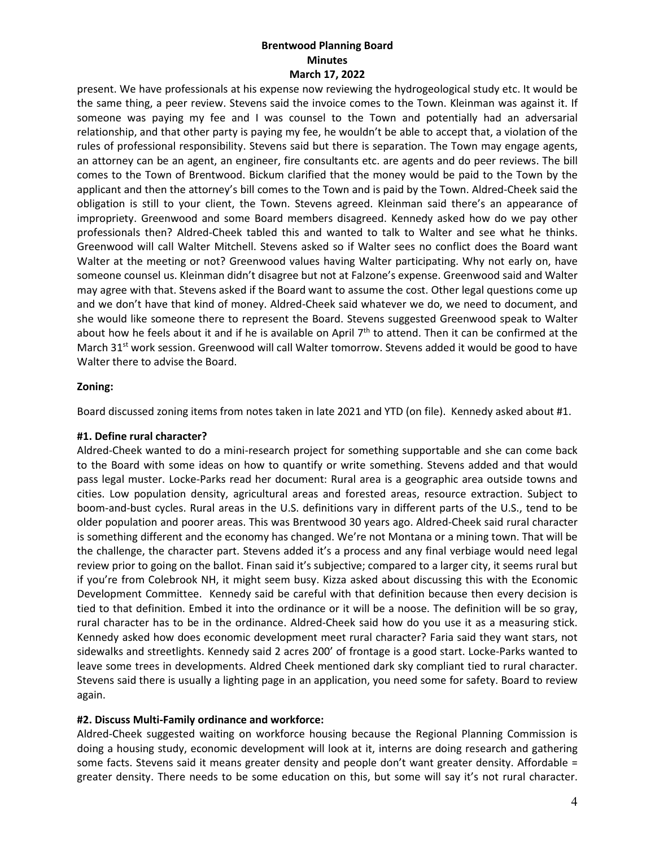present. We have professionals at his expense now reviewing the hydrogeological study etc. It would be the same thing, a peer review. Stevens said the invoice comes to the Town. Kleinman was against it. If someone was paying my fee and I was counsel to the Town and potentially had an adversarial relationship, and that other party is paying my fee, he wouldn't be able to accept that, a violation of the rules of professional responsibility. Stevens said but there is separation. The Town may engage agents, an attorney can be an agent, an engineer, fire consultants etc. are agents and do peer reviews. The bill comes to the Town of Brentwood. Bickum clarified that the money would be paid to the Town by the applicant and then the attorney's bill comes to the Town and is paid by the Town. Aldred-Cheek said the obligation is still to your client, the Town. Stevens agreed. Kleinman said there's an appearance of impropriety. Greenwood and some Board members disagreed. Kennedy asked how do we pay other professionals then? Aldred-Cheek tabled this and wanted to talk to Walter and see what he thinks. Greenwood will call Walter Mitchell. Stevens asked so if Walter sees no conflict does the Board want Walter at the meeting or not? Greenwood values having Walter participating. Why not early on, have someone counsel us. Kleinman didn't disagree but not at Falzone's expense. Greenwood said and Walter may agree with that. Stevens asked if the Board want to assume the cost. Other legal questions come up and we don't have that kind of money. Aldred-Cheek said whatever we do, we need to document, and she would like someone there to represent the Board. Stevens suggested Greenwood speak to Walter about how he feels about it and if he is available on April 7<sup>th</sup> to attend. Then it can be confirmed at the March 31<sup>st</sup> work session. Greenwood will call Walter tomorrow. Stevens added it would be good to have Walter there to advise the Board.

### **Zoning:**

Board discussed zoning items from notes taken in late 2021 and YTD (on file). Kennedy asked about #1.

#### **#1. Define rural character?**

Aldred-Cheek wanted to do a mini-research project for something supportable and she can come back to the Board with some ideas on how to quantify or write something. Stevens added and that would pass legal muster. Locke-Parks read her document: Rural area is a geographic area outside towns and cities. Low population density, agricultural areas and forested areas, resource extraction. Subject to boom-and-bust cycles. Rural areas in the U.S. definitions vary in different parts of the U.S., tend to be older population and poorer areas. This was Brentwood 30 years ago. Aldred-Cheek said rural character is something different and the economy has changed. We're not Montana or a mining town. That will be the challenge, the character part. Stevens added it's a process and any final verbiage would need legal review prior to going on the ballot. Finan said it's subjective; compared to a larger city, it seems rural but if you're from Colebrook NH, it might seem busy. Kizza asked about discussing this with the Economic Development Committee. Kennedy said be careful with that definition because then every decision is tied to that definition. Embed it into the ordinance or it will be a noose. The definition will be so gray, rural character has to be in the ordinance. Aldred-Cheek said how do you use it as a measuring stick. Kennedy asked how does economic development meet rural character? Faria said they want stars, not sidewalks and streetlights. Kennedy said 2 acres 200' of frontage is a good start. Locke-Parks wanted to leave some trees in developments. Aldred Cheek mentioned dark sky compliant tied to rural character. Stevens said there is usually a lighting page in an application, you need some for safety. Board to review again.

### **#2. Discuss Multi-Family ordinance and workforce:**

Aldred-Cheek suggested waiting on workforce housing because the Regional Planning Commission is doing a housing study, economic development will look at it, interns are doing research and gathering some facts. Stevens said it means greater density and people don't want greater density. Affordable = greater density. There needs to be some education on this, but some will say it's not rural character.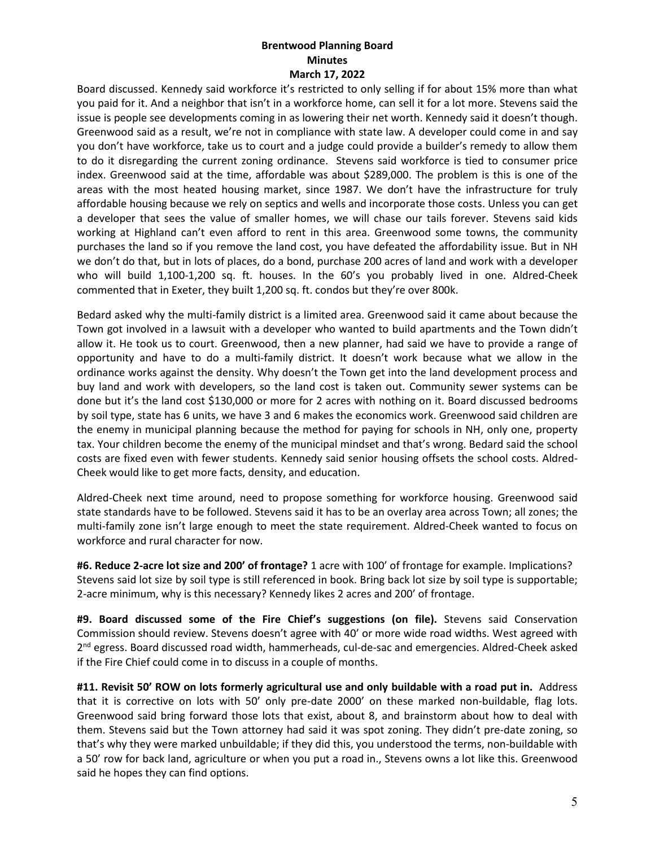Board discussed. Kennedy said workforce it's restricted to only selling if for about 15% more than what you paid for it. And a neighbor that isn't in a workforce home, can sell it for a lot more. Stevens said the issue is people see developments coming in as lowering their net worth. Kennedy said it doesn't though. Greenwood said as a result, we're not in compliance with state law. A developer could come in and say you don't have workforce, take us to court and a judge could provide a builder's remedy to allow them to do it disregarding the current zoning ordinance. Stevens said workforce is tied to consumer price index. Greenwood said at the time, affordable was about \$289,000. The problem is this is one of the areas with the most heated housing market, since 1987. We don't have the infrastructure for truly affordable housing because we rely on septics and wells and incorporate those costs. Unless you can get a developer that sees the value of smaller homes, we will chase our tails forever. Stevens said kids working at Highland can't even afford to rent in this area. Greenwood some towns, the community purchases the land so if you remove the land cost, you have defeated the affordability issue. But in NH we don't do that, but in lots of places, do a bond, purchase 200 acres of land and work with a developer who will build 1,100-1,200 sq. ft. houses. In the 60's you probably lived in one. Aldred-Cheek commented that in Exeter, they built 1,200 sq. ft. condos but they're over 800k.

Bedard asked why the multi-family district is a limited area. Greenwood said it came about because the Town got involved in a lawsuit with a developer who wanted to build apartments and the Town didn't allow it. He took us to court. Greenwood, then a new planner, had said we have to provide a range of opportunity and have to do a multi-family district. It doesn't work because what we allow in the ordinance works against the density. Why doesn't the Town get into the land development process and buy land and work with developers, so the land cost is taken out. Community sewer systems can be done but it's the land cost \$130,000 or more for 2 acres with nothing on it. Board discussed bedrooms by soil type, state has 6 units, we have 3 and 6 makes the economics work. Greenwood said children are the enemy in municipal planning because the method for paying for schools in NH, only one, property tax. Your children become the enemy of the municipal mindset and that's wrong. Bedard said the school costs are fixed even with fewer students. Kennedy said senior housing offsets the school costs. Aldred-Cheek would like to get more facts, density, and education.

Aldred-Cheek next time around, need to propose something for workforce housing. Greenwood said state standards have to be followed. Stevens said it has to be an overlay area across Town; all zones; the multi-family zone isn't large enough to meet the state requirement. Aldred-Cheek wanted to focus on workforce and rural character for now.

**#6. Reduce 2-acre lot size and 200' of frontage?** 1 acre with 100' of frontage for example. Implications? Stevens said lot size by soil type is still referenced in book. Bring back lot size by soil type is supportable; 2-acre minimum, why is this necessary? Kennedy likes 2 acres and 200' of frontage.

**#9. Board discussed some of the Fire Chief's suggestions (on file).** Stevens said Conservation Commission should review. Stevens doesn't agree with 40' or more wide road widths. West agreed with 2<sup>nd</sup> egress. Board discussed road width, hammerheads, cul-de-sac and emergencies. Aldred-Cheek asked if the Fire Chief could come in to discuss in a couple of months.

**#11. Revisit 50' ROW on lots formerly agricultural use and only buildable with a road put in.** Address that it is corrective on lots with 50' only pre-date 2000' on these marked non-buildable, flag lots. Greenwood said bring forward those lots that exist, about 8, and brainstorm about how to deal with them. Stevens said but the Town attorney had said it was spot zoning. They didn't pre-date zoning, so that's why they were marked unbuildable; if they did this, you understood the terms, non-buildable with a 50' row for back land, agriculture or when you put a road in., Stevens owns a lot like this. Greenwood said he hopes they can find options.